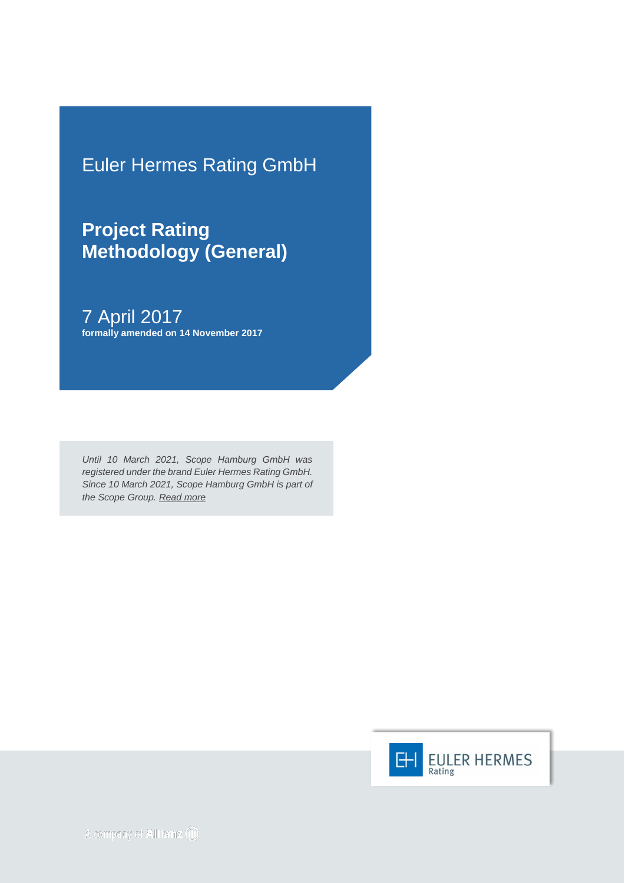Euler Hermes Rating GmbH

**Project Rating Methodology (General)**

7 April 2017 **formally amended on 14 November 2017**

*Until 10 March 2021, Scope Hamburg GmbH was registered under the brand Euler Hermes Rating GmbH. Since 10 March 2021, Scope Hamburg GmbH is part of the Scope Group. [Read more](https://scopegroup.com/media-centre/Scope-Group-acquires-Euler-Hermes-Rating-.html)*

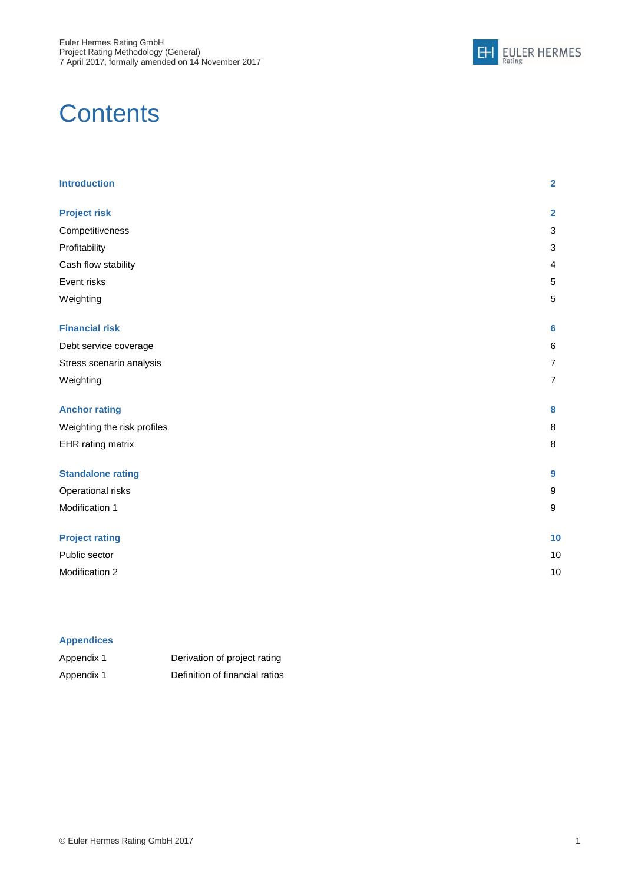

# **Contents**

| <b>Introduction</b>         | $\overline{2}$ |
|-----------------------------|----------------|
| <b>Project risk</b>         | $\overline{2}$ |
| Competitiveness             | $\sqrt{3}$     |
| Profitability               | 3              |
| Cash flow stability         | 4              |
| Event risks                 | $\sqrt{5}$     |
| Weighting                   | 5              |
| <b>Financial risk</b>       | 6              |
| Debt service coverage       | 6              |
| Stress scenario analysis    | $\overline{7}$ |
| Weighting                   | $\overline{7}$ |
| <b>Anchor rating</b>        | 8              |
| Weighting the risk profiles | 8              |
| EHR rating matrix           | $\, 8$         |
| <b>Standalone rating</b>    | 9              |
| Operational risks           | 9              |
| Modification 1              | 9              |
| <b>Project rating</b>       | 10             |
| Public sector               | 10             |
| Modification 2              | 10             |

#### **Appendices**

| Appendix 1 | Derivation of project rating   |
|------------|--------------------------------|
| Appendix 1 | Definition of financial ratios |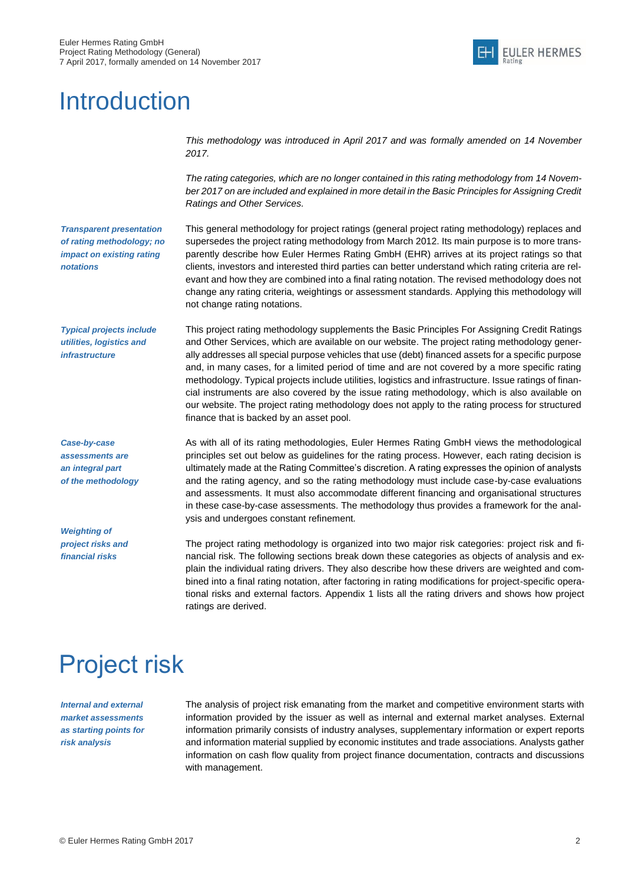

## **Introduction**

*This methodology was introduced in April 2017 and was formally amended on 14 November 2017.*

*The rating categories, which are no longer contained in this rating methodology from 14 November 2017 on are included and explained in more detail in the Basic Principles for Assigning Credit Ratings and Other Services.*

*Transparent presentation of rating methodology; no impact on existing rating notations*

This general methodology for project ratings (general project rating methodology) replaces and supersedes the project rating methodology from March 2012. Its main purpose is to more transparently describe how Euler Hermes Rating GmbH (EHR) arrives at its project ratings so that clients, investors and interested third parties can better understand which rating criteria are relevant and how they are combined into a final rating notation. The revised methodology does not change any rating criteria, weightings or assessment standards. Applying this methodology will not change rating notations.

*Typical projects include utilities, logistics and infrastructure*

*Case-by-case assessments are an integral part of the methodology*

*Weighting of project risks and financial risks*

This project rating methodology supplements the Basic Principles For Assigning Credit Ratings and Other Services, which are available on our website. The project rating methodology generally addresses all special purpose vehicles that use (debt) financed assets for a specific purpose and, in many cases, for a limited period of time and are not covered by a more specific rating methodology. Typical projects include utilities, logistics and infrastructure. Issue ratings of financial instruments are also covered by the issue rating methodology, which is also available on our website. The project rating methodology does not apply to the rating process for structured finance that is backed by an asset pool.

As with all of its rating methodologies, Euler Hermes Rating GmbH views the methodological principles set out below as guidelines for the rating process. However, each rating decision is ultimately made at the Rating Committee's discretion. A rating expresses the opinion of analysts and the rating agency, and so the rating methodology must include case-by-case evaluations and assessments. It must also accommodate different financing and organisational structures in these case-by-case assessments. The methodology thus provides a framework for the analysis and undergoes constant refinement.

The project rating methodology is organized into two major risk categories: project risk and financial risk. The following sections break down these categories as objects of analysis and explain the individual rating drivers. They also describe how these drivers are weighted and combined into a final rating notation, after factoring in rating modifications for project-specific operational risks and external factors. Appendix 1 lists all the rating drivers and shows how project ratings are derived.

# <span id="page-2-0"></span>Project risk

*Internal and external market assessments as starting points for risk analysis*

The analysis of project risk emanating from the market and competitive environment starts with information provided by the issuer as well as internal and external market analyses. External information primarily consists of industry analyses, supplementary information or expert reports and information material supplied by economic institutes and trade associations. Analysts gather information on cash flow quality from project finance documentation, contracts and discussions with management.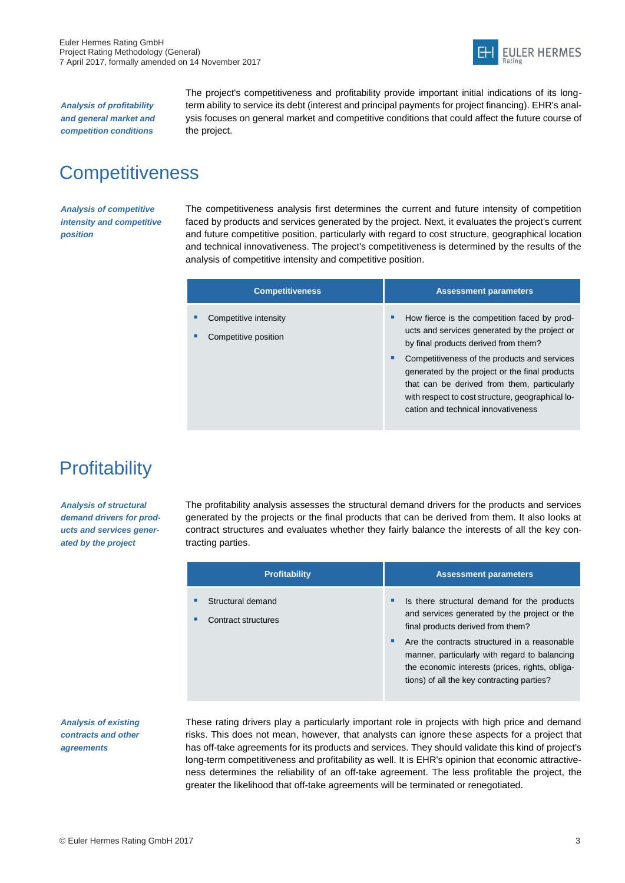

*Analysis of profitability and general market and competition conditions*

The project's competitiveness and profitability provide important initial indications of its longterm ability to service its debt (interest and principal payments for project financing). EHR's analysis focuses on general market and competitive conditions that could affect the future course of the project.

### <span id="page-3-0"></span>**Competitiveness**

*Analysis of competitive intensity and competitive position*

The competitiveness analysis first determines the current and future intensity of competition faced by products and services generated by the project. Next, it evaluates the project's current and future competitive position, particularly with regard to cost structure, geographical location and technical innovativeness. The project's competitiveness is determined by the results of the analysis of competitive intensity and competitive position.

| <b>Competitiveness</b>                        | <b>Assessment parameters</b>                                                                                                                                                                                                                                                                                                                                                                |
|-----------------------------------------------|---------------------------------------------------------------------------------------------------------------------------------------------------------------------------------------------------------------------------------------------------------------------------------------------------------------------------------------------------------------------------------------------|
| Competitive intensity<br>Competitive position | How fierce is the competition faced by prod-<br>٠<br>ucts and services generated by the project or<br>by final products derived from them?<br>Competitiveness of the products and services<br>п<br>generated by the project or the final products<br>that can be derived from them, particularly<br>with respect to cost structure, geographical lo-<br>cation and technical innovativeness |

### <span id="page-3-1"></span>**Profitability**

*Analysis of structural demand drivers for products and services generated by the project*

The profitability analysis assesses the structural demand drivers for the products and services generated by the projects or the final products that can be derived from them. It also looks at contract structures and evaluates whether they fairly balance the interests of all the key contracting parties.

|   | <b>Profitability</b>                     |   | <b>Assessment parameters</b>                                                                                                                                                                   |
|---|------------------------------------------|---|------------------------------------------------------------------------------------------------------------------------------------------------------------------------------------------------|
| п | Structural demand<br>Contract structures | ٠ | Is there structural demand for the products<br>and services generated by the project or the<br>final products derived from them?                                                               |
|   |                                          | ٠ | Are the contracts structured in a reasonable<br>manner, particularly with regard to balancing<br>the economic interests (prices, rights, obliga-<br>tions) of all the key contracting parties? |

*Analysis of existing contracts and other agreements*

These rating drivers play a particularly important role in projects with high price and demand risks. This does not mean, however, that analysts can ignore these aspects for a project that has off-take agreements for its products and services. They should validate this kind of project's long-term competitiveness and profitability as well. It is EHR's opinion that economic attractiveness determines the reliability of an off-take agreement. The less profitable the project, the greater the likelihood that off-take agreements will be terminated or renegotiated.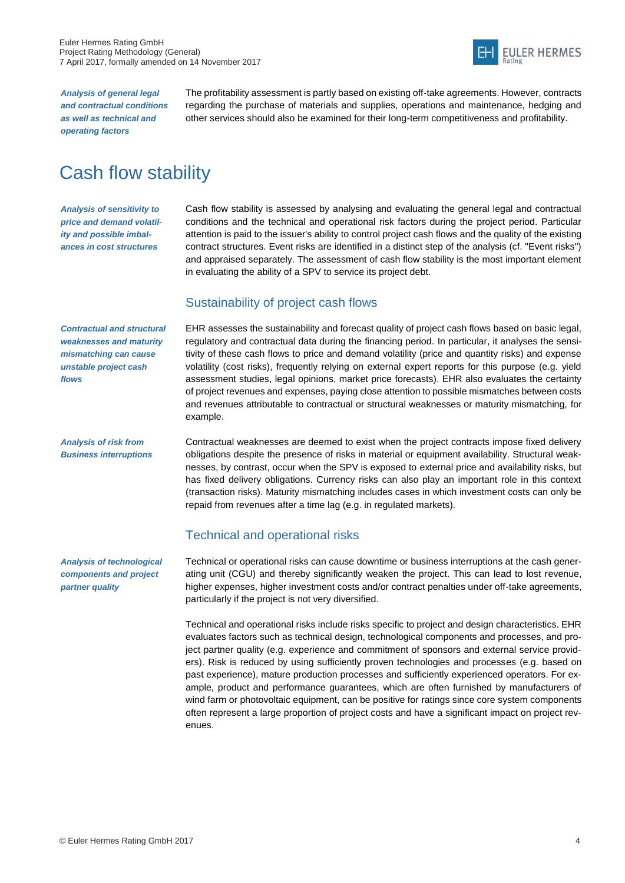

*Analysis of general legal and contractual conditions as well as technical and operating factors*

The profitability assessment is partly based on existing off-take agreements. However, contracts regarding the purchase of materials and supplies, operations and maintenance, hedging and other services should also be examined for their long-term competitiveness and profitability.

### <span id="page-4-0"></span>Cash flow stability

*Analysis of sensitivity to price and demand volatility and possible imbalances in cost structures*

Cash flow stability is assessed by analysing and evaluating the general legal and contractual conditions and the technical and operational risk factors during the project period. Particular attention is paid to the issuer's ability to control project cash flows and the quality of the existing contract structures. Event risks are identified in a distinct step of the analysis (cf. "Event risks") and appraised separately. The assessment of cash flow stability is the most important element in evaluating the ability of a SPV to service its project debt.

#### Sustainability of project cash flows

*Contractual and structural weaknesses and maturity mismatching can cause unstable project cash flows*

*Analysis of risk from Business interruptions* EHR assesses the sustainability and forecast quality of project cash flows based on basic legal, regulatory and contractual data during the financing period. In particular, it analyses the sensitivity of these cash flows to price and demand volatility (price and quantity risks) and expense volatility (cost risks), frequently relying on external expert reports for this purpose (e.g. yield assessment studies, legal opinions, market price forecasts). EHR also evaluates the certainty of project revenues and expenses, paying close attention to possible mismatches between costs and revenues attributable to contractual or structural weaknesses or maturity mismatching, for example.

Contractual weaknesses are deemed to exist when the project contracts impose fixed delivery obligations despite the presence of risks in material or equipment availability. Structural weaknesses, by contrast, occur when the SPV is exposed to external price and availability risks, but has fixed delivery obligations. Currency risks can also play an important role in this context (transaction risks). Maturity mismatching includes cases in which investment costs can only be repaid from revenues after a time lag (e.g. in regulated markets).

#### Technical and operational risks

Technical or operational risks can cause downtime or business interruptions at the cash generating unit (CGU) and thereby significantly weaken the project. This can lead to lost revenue, higher expenses, higher investment costs and/or contract penalties under off-take agreements, particularly if the project is not very diversified.

Technical and operational risks include risks specific to project and design characteristics. EHR evaluates factors such as technical design, technological components and processes, and project partner quality (e.g. experience and commitment of sponsors and external service providers). Risk is reduced by using sufficiently proven technologies and processes (e.g. based on past experience), mature production processes and sufficiently experienced operators. For example, product and performance guarantees, which are often furnished by manufacturers of wind farm or photovoltaic equipment, can be positive for ratings since core system components often represent a large proportion of project costs and have a significant impact on project revenues.

*Analysis of technological components and project partner quality*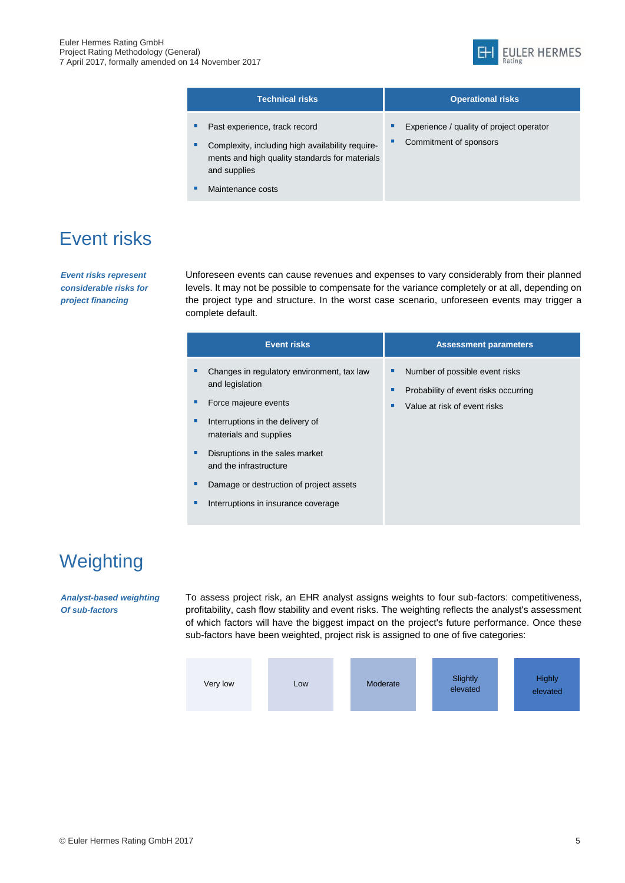

|   | <b>Technical risks</b>                                                                                             | <b>Operational risks</b>                 |
|---|--------------------------------------------------------------------------------------------------------------------|------------------------------------------|
| ٠ | Past experience, track record                                                                                      | Experience / quality of project operator |
| ٠ | Complexity, including high availability require-<br>ments and high quality standards for materials<br>and supplies | Commitment of sponsors                   |
|   | Maintenance costs                                                                                                  |                                          |

### <span id="page-5-0"></span>Event risks

*Event risks represent considerable risks for project financing* 

Unforeseen events can cause revenues and expenses to vary considerably from their planned levels. It may not be possible to compensate for the variance completely or at all, depending on the project type and structure. In the worst case scenario, unforeseen events may trigger a complete default.

| <b>Event risks</b>                                                                    | <b>Assessment parameters</b>                                                                           |
|---------------------------------------------------------------------------------------|--------------------------------------------------------------------------------------------------------|
| Changes in regulatory environment, tax law<br>and legislation<br>Force majeure events | Number of possible event risks<br>Probability of event risks occurring<br>Value at risk of event risks |
| Interruptions in the delivery of<br>materials and supplies                            |                                                                                                        |
| Disruptions in the sales market<br>and the infrastructure                             |                                                                                                        |
| Damage or destruction of project assets                                               |                                                                                                        |
| Interruptions in insurance coverage                                                   |                                                                                                        |

## <span id="page-5-1"></span>**Weighting**

*Analyst-based weighting Of sub-factors* 

To assess project risk, an EHR analyst assigns weights to four sub-factors: competitiveness, profitability, cash flow stability and event risks. The weighting reflects the analyst's assessment of which factors will have the biggest impact on the project's future performance. Once these sub-factors have been weighted, project risk is assigned to one of five categories:

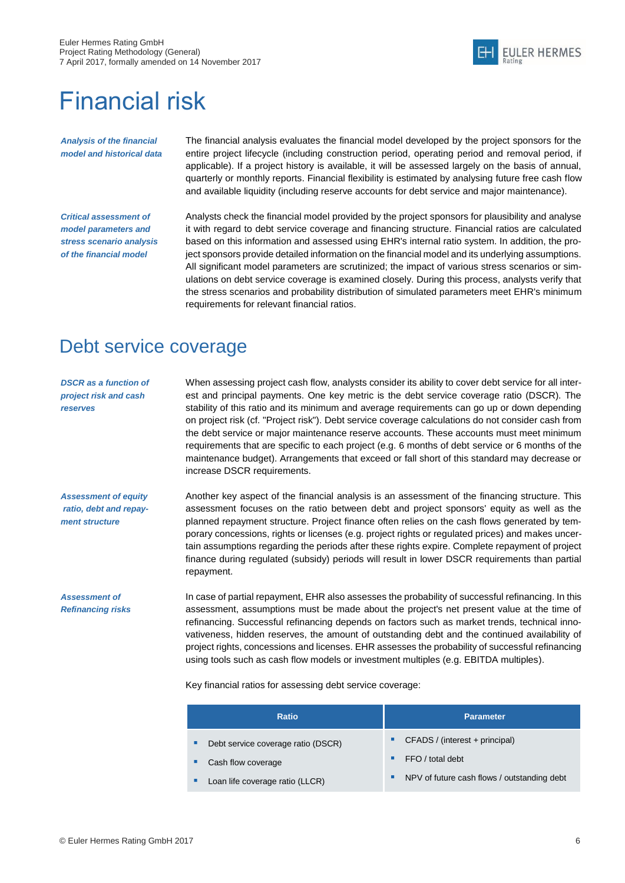

## <span id="page-6-0"></span>Financial risk

*Analysis of the financial model and historical data* The financial analysis evaluates the financial model developed by the project sponsors for the entire project lifecycle (including construction period, operating period and removal period, if applicable). If a project history is available, it will be assessed largely on the basis of annual, quarterly or monthly reports. Financial flexibility is estimated by analysing future free cash flow and available liquidity (including reserve accounts for debt service and major maintenance).

*Critical assessment of model parameters and stress scenario analysis of the financial model*

Analysts check the financial model provided by the project sponsors for plausibility and analyse it with regard to debt service coverage and financing structure. Financial ratios are calculated based on this information and assessed using EHR's internal ratio system. In addition, the project sponsors provide detailed information on the financial model and its underlying assumptions. All significant model parameters are scrutinized; the impact of various stress scenarios or simulations on debt service coverage is examined closely. During this process, analysts verify that the stress scenarios and probability distribution of simulated parameters meet EHR's minimum requirements for relevant financial ratios.

#### <span id="page-6-1"></span>Debt service coverage

*DSCR as a function of project risk and cash reserves* When assessing project cash flow, analysts consider its ability to cover debt service for all interest and principal payments. One key metric is the debt service coverage ratio (DSCR). The stability of this ratio and its minimum and average requirements can go up or down depending on project risk (cf. "Project risk"). Debt service coverage calculations do not consider cash from the debt service or major maintenance reserve accounts. These accounts must meet minimum requirements that are specific to each project (e.g. 6 months of debt service or 6 months of the maintenance budget). Arrangements that exceed or fall short of this standard may decrease or increase DSCR requirements.

*Assessment of equity ratio, debt and repayment structure*

*Assessment of Refinancing risks* Another key aspect of the financial analysis is an assessment of the financing structure. This assessment focuses on the ratio between debt and project sponsors' equity as well as the planned repayment structure. Project finance often relies on the cash flows generated by temporary concessions, rights or licenses (e.g. project rights or regulated prices) and makes uncertain assumptions regarding the periods after these rights expire. Complete repayment of project finance during regulated (subsidy) periods will result in lower DSCR requirements than partial repayment.

In case of partial repayment, EHR also assesses the probability of successful refinancing. In this assessment, assumptions must be made about the project's net present value at the time of refinancing. Successful refinancing depends on factors such as market trends, technical innovativeness, hidden reserves, the amount of outstanding debt and the continued availability of project rights, concessions and licenses. EHR assesses the probability of successful refinancing using tools such as cash flow models or investment multiples (e.g. EBITDA multiples).

Key financial ratios for assessing debt service coverage:

| Ratio                                   | <b>Parameter</b>                                 |
|-----------------------------------------|--------------------------------------------------|
| Debt service coverage ratio (DSCR)<br>п | $CFADS / (interest + principal)$<br>٠            |
| Cash flow coverage                      | FFO / total debt<br>٠                            |
| Loan life coverage ratio (LLCR)         | NPV of future cash flows / outstanding debt<br>٠ |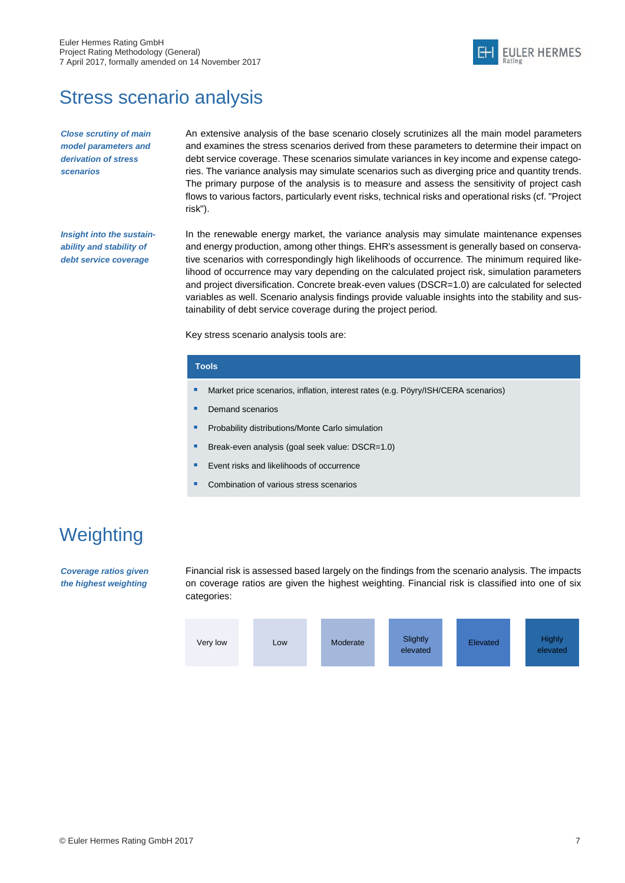

### <span id="page-7-0"></span>Stress scenario analysis

*Close scrutiny of main model parameters and derivation of stress scenarios*

An extensive analysis of the base scenario closely scrutinizes all the main model parameters and examines the stress scenarios derived from these parameters to determine their impact on debt service coverage. These scenarios simulate variances in key income and expense categories. The variance analysis may simulate scenarios such as diverging price and quantity trends. The primary purpose of the analysis is to measure and assess the sensitivity of project cash flows to various factors, particularly event risks, technical risks and operational risks (cf. "Project risk").

*Insight into the sustainability and stability of debt service coverage* 

In the renewable energy market, the variance analysis may simulate maintenance expenses and energy production, among other things. EHR's assessment is generally based on conservative scenarios with correspondingly high likelihoods of occurrence. The minimum required likelihood of occurrence may vary depending on the calculated project risk, simulation parameters and project diversification. Concrete break-even values (DSCR=1.0) are calculated for selected variables as well. Scenario analysis findings provide valuable insights into the stability and sustainability of debt service coverage during the project period.

Key stress scenario analysis tools are:

#### **Tools**

- **Market price scenarios, inflation, interest rates (e.g. Pöyry/ISH/CERA scenarios)**
- **Demand scenarios**
- **Probability distributions/Monte Carlo simulation**
- Break-even analysis (goal seek value: DSCR=1.0)
- **E** Event risks and likelihoods of occurrence
- Combination of various stress scenarios

### <span id="page-7-1"></span>**Weighting**

*Coverage ratios given the highest weighting*

Financial risk is assessed based largely on the findings from the scenario analysis. The impacts on coverage ratios are given the highest weighting. Financial risk is classified into one of six categories:

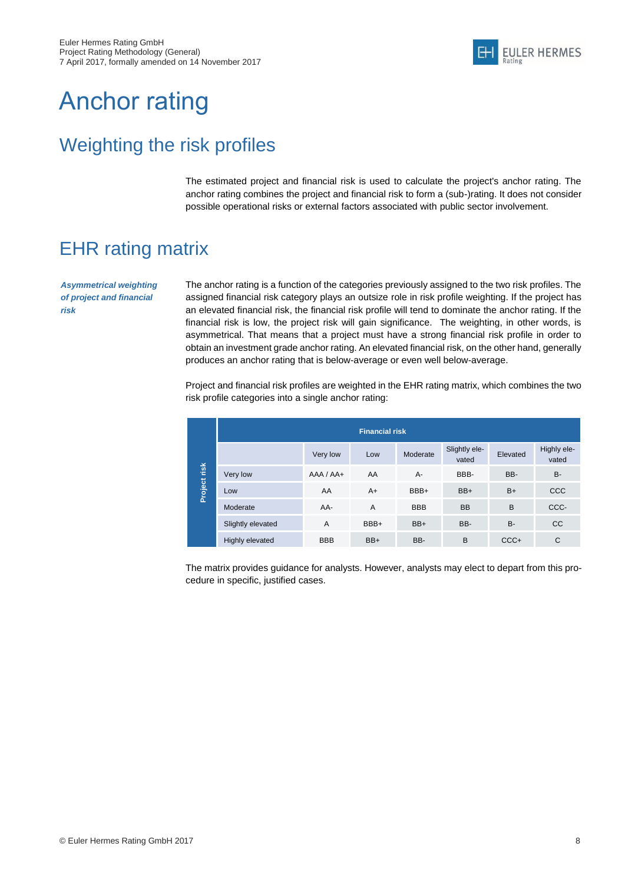

## <span id="page-8-0"></span>Anchor rating

### <span id="page-8-1"></span>Weighting the risk profiles

The estimated project and financial risk is used to calculate the project's anchor rating. The anchor rating combines the project and financial risk to form a (sub-)rating. It does not consider possible operational risks or external factors associated with public sector involvement.

## <span id="page-8-2"></span>EHR rating matrix

*Asymmetrical weighting of project and financial risk*

The anchor rating is a function of the categories previously assigned to the two risk profiles. The assigned financial risk category plays an outsize role in risk profile weighting. If the project has an elevated financial risk, the financial risk profile will tend to dominate the anchor rating. If the financial risk is low, the project risk will gain significance. The weighting, in other words, is asymmetrical. That means that a project must have a strong financial risk profile in order to obtain an investment grade anchor rating. An elevated financial risk, on the other hand, generally produces an anchor rating that is below-average or even well below-average.

Project and financial risk profiles are weighted in the EHR rating matrix, which combines the two risk profile categories into a single anchor rating:

|              |                   |               | <b>Financial risk</b> |            |                        |           |                      |
|--------------|-------------------|---------------|-----------------------|------------|------------------------|-----------|----------------------|
|              |                   | Very low      | Low                   | Moderate   | Slightly ele-<br>vated | Elevated  | Highly ele-<br>vated |
| Project risk | Very low          | $AAA / AAA +$ | AA                    | $A -$      | BBB-                   | BB-       | <b>B-</b>            |
|              | Low               | AA            | $A+$                  | BBB+       | BB+                    | $B+$      | <b>CCC</b>           |
|              | Moderate          | AA-           | $\overline{A}$        | <b>BBB</b> | <b>BB</b>              | B         | CCC-                 |
|              | Slightly elevated | A             | BBB+                  | BB+        | BB-                    | <b>B-</b> | <sub>CC</sub>        |
|              | Highly elevated   | <b>BBB</b>    | BB+                   | BB-        | B                      | $CCC +$   | C                    |

The matrix provides guidance for analysts. However, analysts may elect to depart from this procedure in specific, justified cases.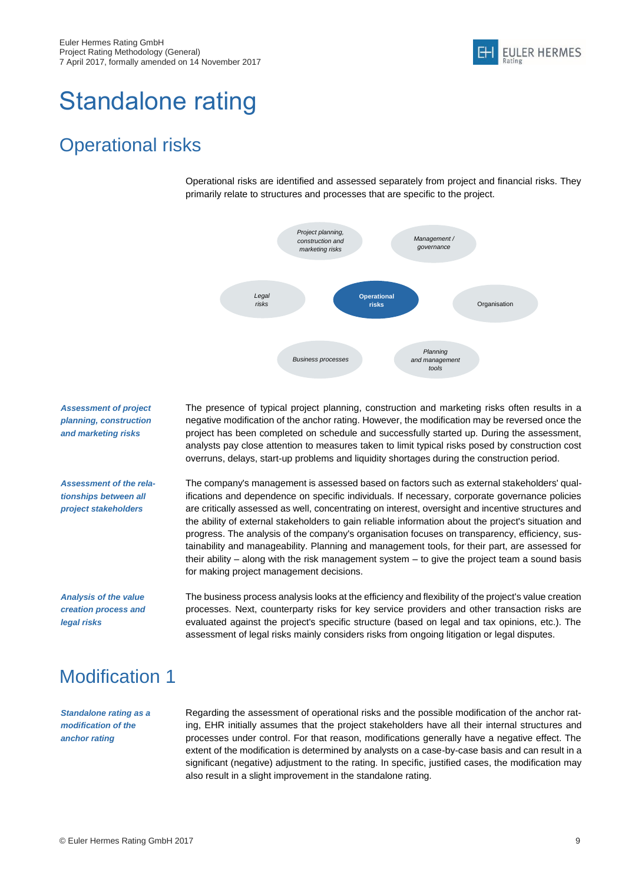

# <span id="page-9-0"></span>Standalone rating

### <span id="page-9-1"></span>Operational risks

Operational risks are identified and assessed separately from project and financial risks. They primarily relate to structures and processes that are specific to the project.



*Assessment of project planning, construction and marketing risks* 

The presence of typical project planning, construction and marketing risks often results in a negative modification of the anchor rating. However, the modification may be reversed once the project has been completed on schedule and successfully started up. During the assessment, analysts pay close attention to measures taken to limit typical risks posed by construction cost overruns, delays, start-up problems and liquidity shortages during the construction period.

*Assessment of the relationships between all project stakeholders*

The company's management is assessed based on factors such as external stakeholders' qualifications and dependence on specific individuals. If necessary, corporate governance policies are critically assessed as well, concentrating on interest, oversight and incentive structures and the ability of external stakeholders to gain reliable information about the project's situation and progress. The analysis of the company's organisation focuses on transparency, efficiency, sustainability and manageability. Planning and management tools, for their part, are assessed for their ability – along with the risk management system – to give the project team a sound basis for making project management decisions.

*Analysis of the value creation process and legal risks*

The business process analysis looks at the efficiency and flexibility of the project's value creation processes. Next, counterparty risks for key service providers and other transaction risks are evaluated against the project's specific structure (based on legal and tax opinions, etc.). The assessment of legal risks mainly considers risks from ongoing litigation or legal disputes.

## <span id="page-9-2"></span>Modification 1

*Standalone rating as a modification of the anchor rating*

Regarding the assessment of operational risks and the possible modification of the anchor rating, EHR initially assumes that the project stakeholders have all their internal structures and processes under control. For that reason, modifications generally have a negative effect. The extent of the modification is determined by analysts on a case-by-case basis and can result in a significant (negative) adjustment to the rating. In specific, justified cases, the modification may also result in a slight improvement in the standalone rating.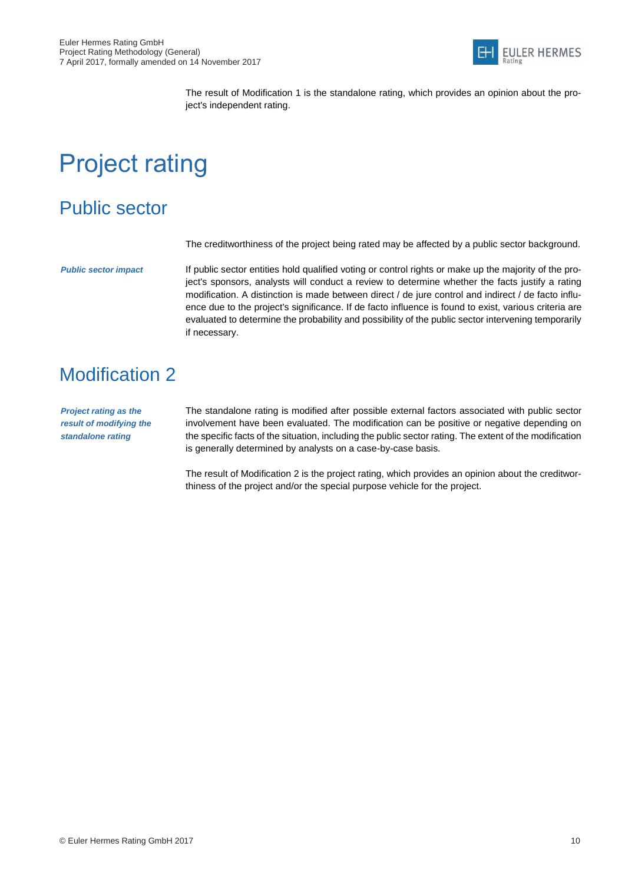

The result of Modification 1 is the standalone rating, which provides an opinion about the project's independent rating.

# <span id="page-10-0"></span>Project rating

### <span id="page-10-1"></span>Public sector

The creditworthiness of the project being rated may be affected by a public sector background.

*Public sector impact*

If public sector entities hold qualified voting or control rights or make up the majority of the project's sponsors, analysts will conduct a review to determine whether the facts justify a rating modification. A distinction is made between direct / de jure control and indirect / de facto influence due to the project's significance. If de facto influence is found to exist, various criteria are evaluated to determine the probability and possibility of the public sector intervening temporarily if necessary.

## <span id="page-10-2"></span>Modification 2

*Project rating as the result of modifying the standalone rating*

The standalone rating is modified after possible external factors associated with public sector involvement have been evaluated. The modification can be positive or negative depending on the specific facts of the situation, including the public sector rating. The extent of the modification is generally determined by analysts on a case-by-case basis.

The result of Modification 2 is the project rating, which provides an opinion about the creditworthiness of the project and/or the special purpose vehicle for the project.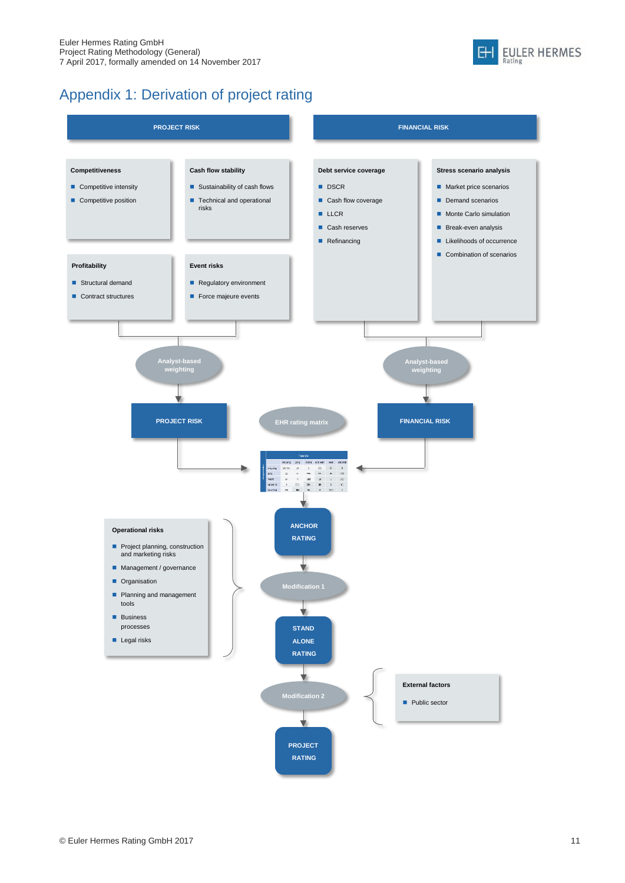

#### Appendix 1: Derivation of project rating

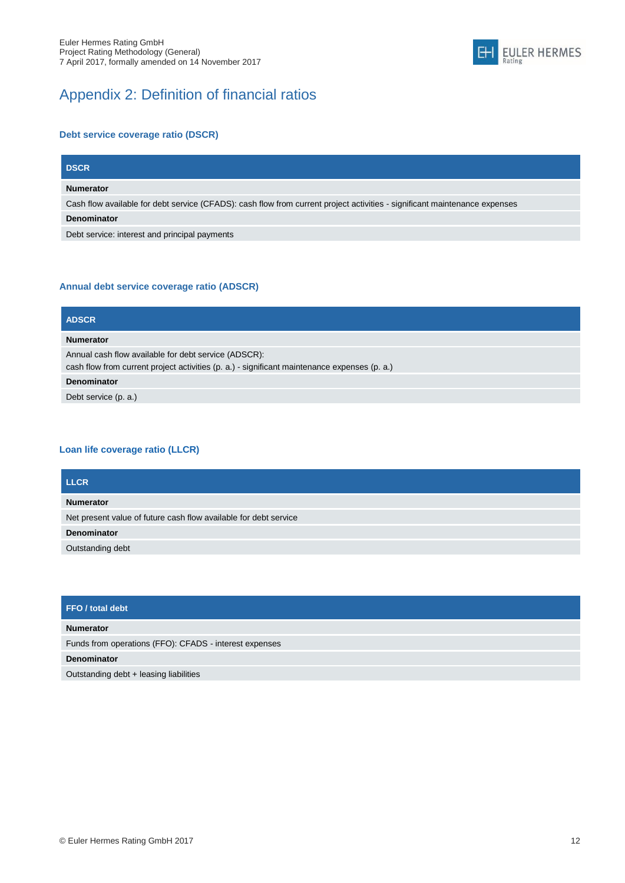



#### **Debt service coverage ratio (DSCR)**

| <b>DSCR</b>                                                                                                                |
|----------------------------------------------------------------------------------------------------------------------------|
| <b>Numerator</b>                                                                                                           |
| Cash flow available for debt service (CFADS): cash flow from current project activities - significant maintenance expenses |
| <b>Denominator</b>                                                                                                         |

Debt service: interest and principal payments

#### **Annual debt service coverage ratio (ADSCR)**

| <b>ADSCR</b>                                                                                                                                         |
|------------------------------------------------------------------------------------------------------------------------------------------------------|
| <b>Numerator</b>                                                                                                                                     |
| Annual cash flow available for debt service (ADSCR):<br>cash flow from current project activities (p. a.) - significant maintenance expenses (p. a.) |
| <b>Denominator</b>                                                                                                                                   |
| Debt service (p. a.)                                                                                                                                 |

#### **Loan life coverage ratio (LLCR)**

| <b>LLCR</b>                                                      |
|------------------------------------------------------------------|
| <b>Numerator</b>                                                 |
| Net present value of future cash flow available for debt service |
| <b>Denominator</b>                                               |
| Outstanding debt                                                 |

| FFO / total debt <sup>1</sup>                          |
|--------------------------------------------------------|
| <b>Numerator</b>                                       |
| Funds from operations (FFO): CFADS - interest expenses |
| Denominator                                            |
| Outstanding debt + leasing liabilities                 |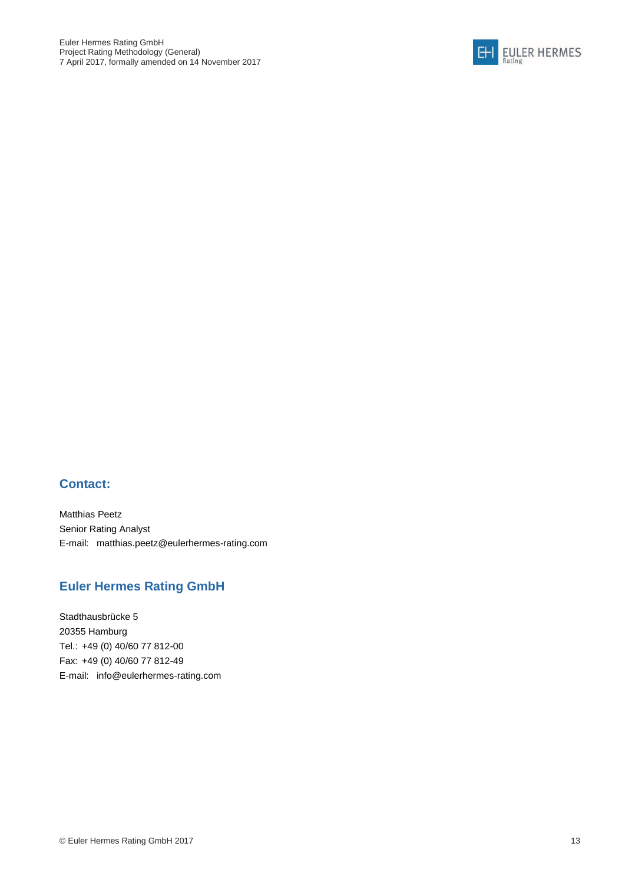

#### **Contact:**

Matthias Peetz Senior Rating Analyst E-mail: [matthias.peetz@eulerhermes-rating.com](mailto:sascha.heller@eulerhermes-rating.com)

#### **Euler Hermes Rating GmbH**

Stadthausbrücke 5 20355 Hamburg Tel.: +49 (0) 40/60 77 812-00 Fax: +49 (0) 40/60 77 812-49 E-mail: info@eulerhermes-rating.com